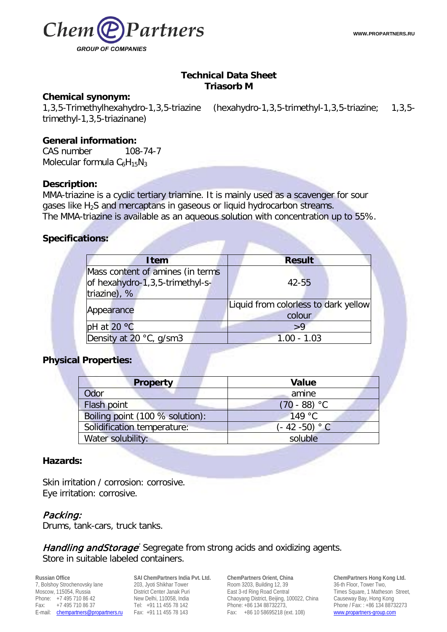

# **Technical Data Sheet Triasorb M**

## **Chemical synonym:**

1,3,5-Trimethylhexahydro-1,3,5-triazine (hexahydro-1,3,5-trimethyl-1,3,5-triazine; 1,3,5 trimethyl-1,3,5-triazinane)

## **General information:**

CAS number 108-74-7 Molecular formula  $C_6H_{15}N_3$ 

#### **Description:**

MMA-triazine is a cyclic tertiary triamine. It is mainly used as a scavenger for sour gases like H<sub>2</sub>S and mercaptans in gaseous or liquid hydrocarbon streams. The MMA-triazine is available as an aqueous solution with concentration up to 55%.

## **Specifications:**

| <b>Item</b>                                                                         | <b>Result</b>                                  |
|-------------------------------------------------------------------------------------|------------------------------------------------|
| Mass content of amines (in terms<br>of hexahydro-1,3,5-trimethyl-s-<br>triazine), % | $42 - 55$                                      |
| Appearance                                                                          | Liquid from colorless to dark yellow<br>colour |
| pH at 20 °C                                                                         | > 9                                            |
| Density at 20 °C, g/sm3                                                             | $1.00 - 1.03$                                  |

## **Physical Properties:**

| <b>Property</b>                 | <b>Value</b>    |
|---------------------------------|-----------------|
| Odor                            | amine           |
| Flash point                     | $(70 - 88) °C$  |
| Boiling point (100 % solution): | 149 °C          |
| Solidification temperature:     | $(-42 - 50) °C$ |
| Water solubility:               | soluble         |

## **Hazards:**

Skin irritation / corrosion: corrosive. Eye irritation: corrosive.

## Packing:

Drums, tank-cars, truck tanks.

## Handling and Storage<sup>:</sup> Segregate from strong acids and oxidizing agents. Store in suitable labeled containers.

**Russian Office** 7, Bolshoy Strochenovsky lane Moscow, 115054, Russia Phone: +7 495 710 86 42 Fax: +7 495 710 86 37 E-mail: [chempartners@propartners.ru](mailto:chempartners@propartners.ru)

**SAI ChemPartners India Pvt. Ltd.** 203, Jyoti Shikhar Tower District Center Janak Puri New Delhi, 110058, India Tel: +91 11 455 78 142 Fax: +91 11 455 78 143

**ChemPartners Orient, China** Room 3203, Building 12, 39 East 3-rd Ring Road Central Chaoyang District, Beijing, 100022, China Phone: +86 134 88732273, Fax: +86 10 58695218 (ext. 108)

**ChemPartners Hong Kong Ltd.** 36-th Floor, Tower Two, Times Square, 1 Matheson Street, Causeway Bay, Hong Kong Phone / Fax: : +86 134 88732273 [www.propartners-group.com](http://www.propartners-group.com/)